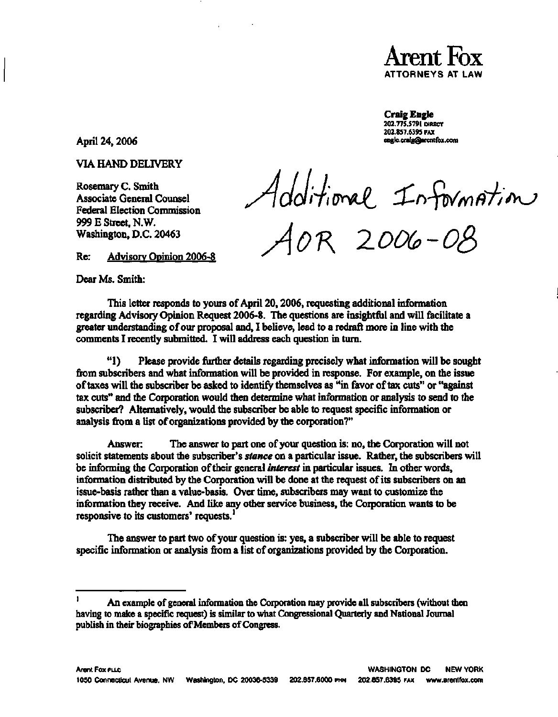

## **Craig Engle**

**202.775.5791 DIRECT 202.8S7.6395 FAX [cnglc.craig@arcntfox.com](mailto:cnglc.craig@arcntfox.com)** 

**April 24,2006** 

**VIA HAND DELIVERY** 

**Rosemary C. Smith Associate General Counsel Federal Election Commission 999 E Street, N.W. Washington, D.C. 20463** 

Additional Information

**Re: Advisory Opinion 2006-8** 

**Dear Ms. Smith:** 

**This letter responds to yours of April 20,2006, requesting additional information regarding Advisory Opinion Request 2006-8. The questions are insightful and will facilitate a greater understanding of our proposal and, I believe, lead to a redraft more in line with the comments I recently submitted. I will address each question in turn.** 

**"1) Please provide further details regarding precisely what information will be sought from subscribers and what information will be provided in response. For example, on the issue of taxes will the subscriber be asked to identify themselves as "in favor of tax cuts" or "against tax cuts" and the Corporation would then determine what information or analysis to send to the subscriber? Alternatively, would the subscriber be able to request specific information or analysis from a list of organizations provided by the corporation?"** 

**Answer: The answer to part one of your question is: no, the Corporation will not solicit statements about the subscriber's** *stance* **on a particular issue. Rather, the subscribers will be informing the Corporation of their general** *interest* **in particular issues. In other words, information distributed by the Corporation will be done at the request of its subscribers on an issue-basis rather than a value-basis. Over time, subscribers may want to customize the information they receive. And like any other service business, the Corporation wants to be responsive to its customers' requests.<sup>1</sup>**

**The answer to part two of your question is: yes, a subscriber will be able to request specific information or analysis from a list of organizations provided by the Corporation.** 

 $\mathbf{I}$ **An example of general information the Corporation may provide all subscribers (without then having to make a specific request) is similar to what Congressional Quarterly and National Journal publish in their biographies of Members of Congress.**